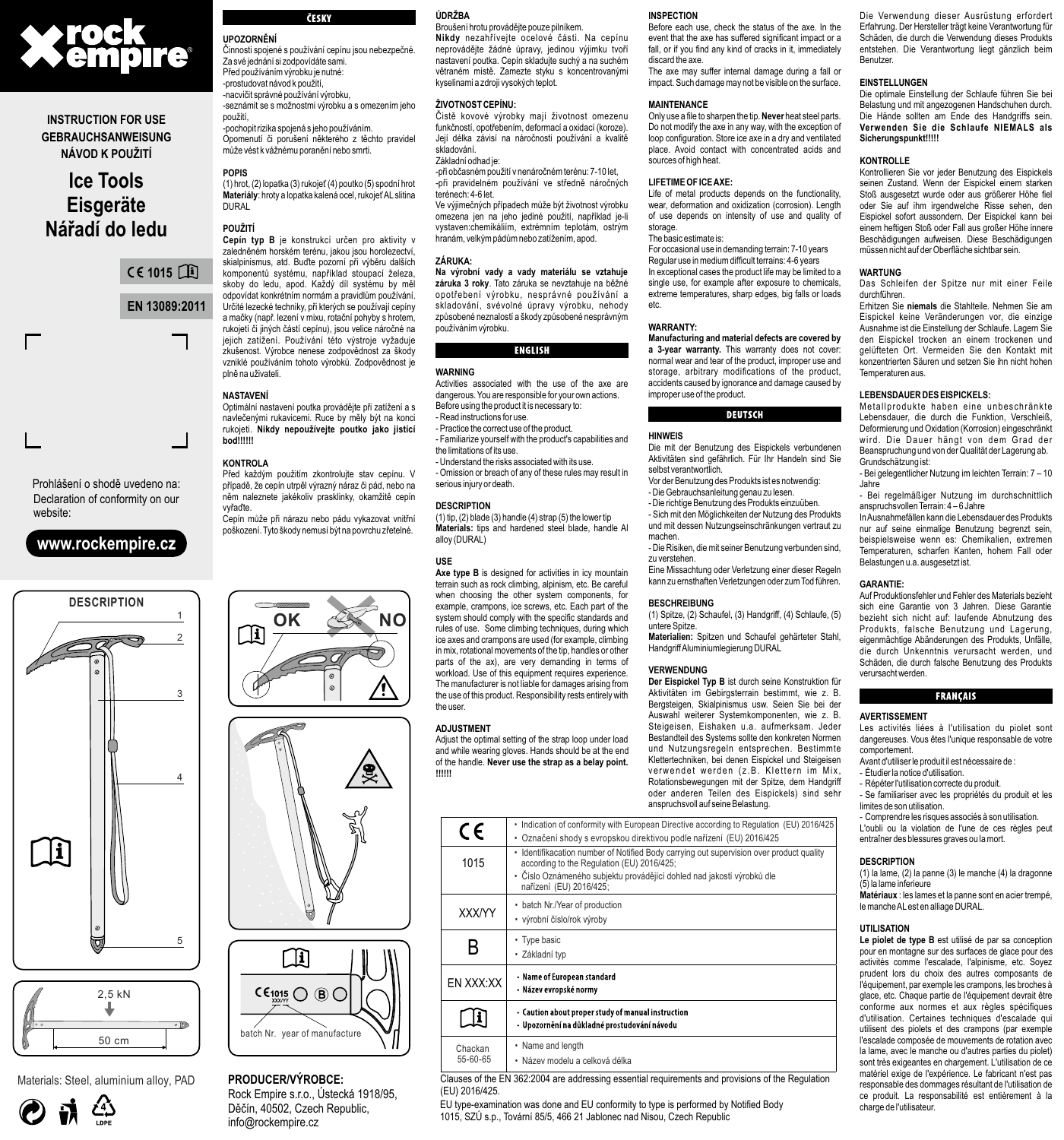

## **INSTRUCTION FOR USE GEBRAUCHSANWEISUNG NÁVOD K POUŽITÍ**

# **Ice Tools Eisgeräte Nářadí do ledu**

**EN 13089:2011 1015**

Prohlášení o shodě uvedeno na: Declaration of conformity on our website:

## **www.rockempire.cz**



Materials: Steel, aluminium alloy, PAD



# ČESKY

**UPOZORNĚNÍ** Činnosti spojené s používání cepínu jsou nebezpečné. Za své jednání si zodpovídáte sami. Před používáním výrobku je nutné: -prostudovat návod k použití, -nacvičit správné používání výrobku, -seznámit se s možnostmi výrobku a s omezením jeho

použití, -pochopit rizika spojená s jeho používáním.

Opomenutí či porušení některého z těchto pravidel může vést k vážnému poranění nebo smrti.

### **POPIS**

(1) hrot, (2) lopatka (3) rukojeť (4) poutko (5) spodní hrot **Materiály**: hroty a lopatka kalená ocel, rukojeť AL slitina **DURAL** 

### **POUŽITÍ**

**Cepín typ B** je konstrukcí určen pro aktivity v zaledněném horském terénu, jakou jsou horolezectví, skialpinismus, atd. Buďte pozorní při výběru dalších komponentů systému, například stoupací železa, skoby do ledu, apod. Každý díl systému by měl odpovídat konkrétním normám a pravidlům používání. Určité lezecké techniky, při kterých se používají cepíny a mačky (např. lezení v mixu, rotační pohyby s hrotem, rukojetí či jiných částí cepínu), jsou velice náročné na jejich zatížení. Používání této výstroje vyžaduje zkušenost. Výrobce nenese zodpovědnost za škody vzniklé používáním tohoto výrobků. Zodpovědnost je plně na uživateli.

### **NASTAVENÍ**

Optimální nastavení poutka provádějte při zatížení a s navlečenými rukavicemi. Ruce by měly být na konci rukojeti. **Nikdy nepoužívejte poutko jako jistící bod!!!!!!**

### **KONTROLA**

Před každým použitím zkontrolujte stav cepínu. V případě, že cepín utrpěl výrazný náraz či pád, nebo na něm naleznete jakékoliv prasklinky, okamžitě cepín vyřaďte.

Cepín může při nárazu nebo pádu vykazovat vnitřní poškození. Tyto škody nemusí být na povrchu zřetelné.







### **PRODUCER/VÝROBCE:** Rock Empire s.r.o., Ústecká 1918/95, Děčín, 40502, Czech Republic,

info@rockempire.cz

### **ÚDRŽBA**

Broušení hrotu provádějte pouze pilníkem. **Nikdy** nezahřívejte ocelové části. Na cepínu neprovádějte žádné úpravy, jedinou výjimku tvoří nastavení poutka. Cepín skladujte suchý a na suchém větraném místě. Zamezte styku s koncentrovanými kyselinami a zdroji vysokých teplot.

### **ŽIVOTNOST CEPÍNU:**

Čistě kovové výrobky mají životnost omezenu funkčností, opotřebením, deformací a oxidací (koroze). Její délka závisí na náročnosti používání a kvalitě skladování.

### Základní odhad je:

-při občasném použití v nenáročném terénu: 7-10 let, -při pravidelném používání ve středně náročných terénech: 4-6 let. Ve výjimečných případech může být životnost výrobku

omezena jen na jeho jediné použití, například je-li vystaven:chemikáliím, extrémním teplotám, ostrým hranám, velkým pádům nebo zatížením, apod.

### **ZÁRUKA:**

**Na výrobní vady a vady materiálu se vztahuje záruka 3 roky**. Tato záruka se nevztahuje na běžné opotřebení výrobku, nesprávné používání a skladování, svévolné úpravy výrobku, nehody způsobené neznalostí a škody způsobené nesprávným používáním výrobku.

### **ENGLISH**

#### **WARNING**

Activities associated with the use of the axe are dangerous. You are responsible for your own actions. Before using the product it is necessary to:

- Read instructions for use. - Practice the correct use of the product.
- Familiarize yourself with the product's capabilities and the limitations of its use.
- Understand the risks associated with its use. - Omission or breach of any of these rules may result in serious injury or death.

### **DESCRIPTION**

(1) tip, (2) blade (3) handle (4) strap (5) the lower tip **Materials:** tips and hardened steel blade, handle Al alloy (DURAL)

### **USE**

**Axe type B** is designed for activities in icy mountain terrain such as rock climbing, alpinism, etc. Be careful when choosing the other system components, for example, crampons, ice screws, etc. Each part of the system should comply with the specific standards and rules of use. Some climbing techniques, during which ice axes and crampons are used (for example, climbing in mix, rotational movements of the tip, handles or other parts of the ax), are very demanding in terms of workload. Use of this equipment requires experience. The manufacturer is not liable for damages arising from the use of this product. Responsibility rests entirely with the user.

### **ADJUSTMENT**

Adjust the optimal setting of the strap loop under load and while wearing gloves. Hands should be at the end of the handle. **Never use the strap as a belay point. !!!!!!**

| <b>NSPECTION</b> |  |
|------------------|--|
|                  |  |

**INSPECTION** Before each use, check the status of the axe. In the event that the axe has suffered significant impact or a fall, or if you find any kind of cracks in it, immediately discard the axe.

The axe may suffer internal damage during a fall or impact. Such damage may not be visible on the surface.

### **MAINTENANCE**

Only use a file to sharpen the tip. **Never** heat steel parts. Do not modify the axe in any way, with the exception of loop configuration. Store ice axe in a dry and ventilated place. Avoid contact with concentrated acids and sources of high heat.

### **LIFETIME OF ICE AXE:**

Life of metal products depends on the functionality, wear, deformation and oxidization (corrosion). Length of use depends on intensity of use and quality of storage. The basic estimate is:

For occasional use in demanding terrain: 7-10 years

Regular use in medium difficult terrains: 4-6 years

In exceptional cases the product life may be limited to a single use, for example after exposure to chemicals extreme temperatures, sharp edges, big falls or loads etc.

### **WARRANTY:**

**Manufacturing and material defects are covered by a 3-year warranty.** This warranty does not cover: normal wear and tear of the product, improper use and storage, arbitrary modifications of the product, accidents caused by ignorance and damage caused by improper use of the product.

### **DEUTSCH**

### **HINWEIS**

Die mit der Benutzung des Eispickels verbundenen Aktivitäten sind gefährlich. Für Ihr Handeln sind Sie selbst verantwortlich.

Vor der Benutzung des Produkts ist es notwendig: - Die Gebrauchsanleitung genau zu lesen.

- Die richtige Benutzung des Produkts einzuüben.

- Sich mit den Möglichkeiten der Nutzung des Produkts und mit dessen Nutzungseinschränkungen vertraut zu machen.

-----------<br>- Die Risiken, die mit seiner Benutzung verbunden sind, zu verstehen.

Eine Missachtung oder Verletzung einer dieser Regeln kann zu ernsthaften Verletzungen oder zum Tod führen.

### **BESCHREIBUNG**

(1) Spitze, (2) Schaufel, (3) Handgriff, (4) Schlaufe, (5) untere Spitze.

**Materialien:** Spitzen und Schaufel gehärteter Stahl, Handgriff Aluminiumlegierung DURAL

### **VERWENDUNG**

**Der Eispickel Typ B** ist durch seine Konstruktion für Aktivitäten im Gebirgsterrain bestimmt, wie z. B. Bergsteigen, Skialpinismus usw. Seien Sie bei der Auswahl weiterer Systemkomponenten, wie z. B. Steigeisen, Eishaken u.a. aufmerksam. Jeder Bestandteil des Systems sollte den konkreten Normen und Nutzungsregeln entsprechen. Bestimmte Klettertechniken, bei denen Eispickel und Steigeisen verwendet werden (z.B. Klettern im Mix, Rotationsbewegungen mit der Spitze, dem Handgriff oder anderen Teilen des Eispickels) sind sehr anspruchsvoll auf seine Belastung.



Clauses of the EN 362:2004 are addressing essential requirements and provisions of the Regulation (EU) 2016/425.

EU type-examination was done and EU conformity to type is performed by Notified Body 1015, SZÚ s.p., Tovární 85/5, 466 21 Jablonec nad Nisou, Czech Republic

Schäden, die durch die Verwendung dieses Produkts entstehen. Die Verantwortung liegt gänzlich beim Benutzer. **EINSTELLUNGEN**

# Die optimale Einstellung der Schlaufe führen Sie bei Belastung und mit angezogenen Handschuhen durch.

Die Verwendung dieser Ausrüstung erfordert Erfahrung. Der Hersteller trägt keine Verantwortung für

Die Hände sollten am Ende des Handgriffs sein. **Verwenden Sie die Schlaufe NIEMALS als Sicherungspunkt!!!!!**

### **KONTROLLE**

Kontrollieren Sie vor jeder Benutzung des Eispickels seinen Zustand. Wenn der Eispickel einem starken Stoß ausgesetzt wurde oder aus größerer Höhe fiel oder Sie auf ihm irgendwelche Risse sehen, den Eispickel sofort aussondern. Der Eispickel kann bei einem heftigen Stoß oder Fall aus großer Höhe innere Beschädigungen aufweisen. Diese Beschädigungen müssen nicht auf der Oberfläche sichtbar sein.

### **WARTUNG**

Das Schleifen der Spitze nur mit einer Feile durchführen.

Erhitzen Sie **niemals** die Stahlteile. Nehmen Sie am Eispickel keine Veränderungen vor, die einzige Ausnahme ist die Einstellung der Schlaufe. Lagern Sie den Eispickel trocken an einem trockenen und gelüfteten Ort. Vermeiden Sie den Kontakt mit konzentrierten Säuren und setzen Sie ihn nicht hohen Temperaturen aus.

### **LEBENSDAUER DES EISPICKELS:**

Metallprodukte haben eine unbeschränkte Lebensdauer, die durch die Funktion, Verschleiß, Deformierung und Oxidation (Korrosion) eingeschränkt wird. Die Dauer hängt von dem Grad der Beanspruchung und von der Qualität der Lagerung ab. Grundschätzung ist:

- Bei gelegentlicher Nutzung im leichten Terrain: 7 – 10 Jahre

- Bei regelmäßiger Nutzung im durchschnittlich anspruchsvollen Terrain: 4 – 6 Jahre

In Ausnahmefällen kann die Lebensdauer des Produkts nur auf seine einmalige Benutzung begrenzt sein, beispielsweise wenn es: Chemikalien, extremen Temperaturen, scharfen Kanten, hohem Fall oder Belastungen u.a. ausgesetzt ist.

### **GARANTIE:**

Auf Produktionsfehler und Fehler des Materials bezieht sich eine Garantie von 3 Jahren. Diese Garantie bezieht sich nicht auf: laufende Abnutzung des Produkts, falsche Benutzung und Lagerung, eigenmächtige Abänderungen des Produkts, Unfälle, die durch Unkenntnis verursacht werden, und Schäden, die durch falsche Benutzung des Produkts verursacht werden.

### **FRANÇAIS**

### **AVERTISSEMENT**

Les activités liées à l'utilisation du piolet sont dangereuses. Vous êtes l'unique responsable de votre comportement.

- Avant d'utiliser le produit il est nécessaire de :
- Étudier la notice d'utilisation. - Répéter l'utilisation correcte du produit.

- Se familiariser avec les propriétés du produit et les limites de son utilisation.

- Comprendre les risques associés à son utilisation.

L'oubli ou la violation de l'une de ces règles peut entraîner des blessures graves ou la mort.

(1) la lame, (2) la panne (3) le manche (4) la dragonne

**Matériaux** : les lames et la panne sont en acier trempé, le manche ALest en alliage DURAL.

**Le piolet de type B** est utilisé de par sa conception pour en montagne sur des surfaces de glace pour des activités comme l'escalade, l'alpinisme, etc. Soyez prudent lors du choix des autres composants de l'équipement, par exemple les crampons, les broches à glace, etc. Chaque partie de l'équipement devrait être conforme aux normes et aux règles spécifiques d'utilisation. Certaines techniques d'escalade qui utilisent des piolets et des crampons (par exemple l'escalade composée de mouvements de rotation avec la lame, avec le manche ou d'autres parties du piolet) sont très exigeantes en chargement. L'utilisation de ce matériel exige de l'expérience. Le fabricant n'est pas responsable des dommages résultant de l'utilisation de ce produit. La responsabilité est entièrement à la

## **DESCRIPTION** (5) la lame inferieure

**UTILISATION**

charge de l'utilisateur.